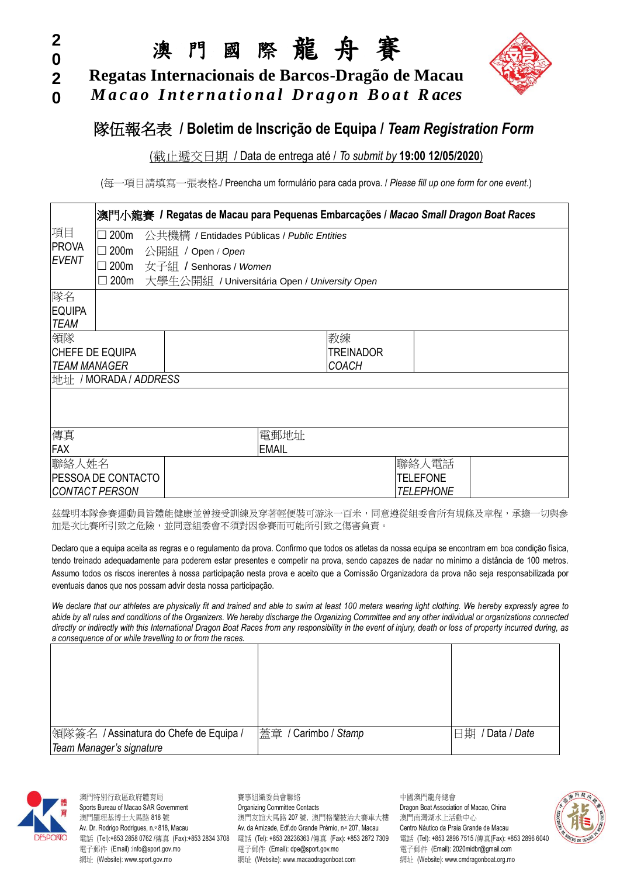#### **2 0**

**0**

澳 門 國 際 龍 舟 賽

**2 Regatas Internacionais de Barcos-Dragão de Macau**

*M a c a o I n t e r n a t i o n a l D r a g o n B o a t R aces*



# **隊伍報名表 / Boletim de Inscrição de Equipa / Team Registration Form**

#### (截止遞交日期 / Data de entrega até / *To submit by* **19:00 12/05/2020**)

(每一項目請填寫一張表格./ Preencha um formulá rio para cada prova. / *Please fill up one form for one event*.)

|                |                                            |  | 澳門小龍賽 / Regatas de Macau para Pequenas Embarcações / Macao Small Dragon Boat Races |              |    |                  |  |  |
|----------------|--------------------------------------------|--|------------------------------------------------------------------------------------|--------------|----|------------------|--|--|
| 項目             | 200 <sub>m</sub>                           |  | 公共機構 / Entidades Públicas / Public Entities                                        |              |    |                  |  |  |
| <b>PROVA</b>   | 200 <sub>m</sub>                           |  | 公開組 / Open / Open                                                                  |              |    |                  |  |  |
| <b>EVENT</b>   | 200m                                       |  | 女子組 / Senhoras / Women                                                             |              |    |                  |  |  |
|                | $\square$ 200m                             |  | 大學生公開組 / Universitária Open / University Open                                      |              |    |                  |  |  |
| 隊名             |                                            |  |                                                                                    |              |    |                  |  |  |
| <b>EQUIPA</b>  |                                            |  |                                                                                    |              |    |                  |  |  |
| <b>TEAM</b>    |                                            |  |                                                                                    |              |    |                  |  |  |
| 領隊             |                                            |  |                                                                                    |              | 教練 |                  |  |  |
|                | <b>CHEFE DE EQUIPA</b><br><b>TREINADOR</b> |  |                                                                                    |              |    |                  |  |  |
|                | <b>COACH</b><br><b>TEAM MANAGER</b>        |  |                                                                                    |              |    |                  |  |  |
|                | 地址 / MORADA / ADDRESS                      |  |                                                                                    |              |    |                  |  |  |
|                |                                            |  |                                                                                    |              |    |                  |  |  |
|                |                                            |  |                                                                                    |              |    |                  |  |  |
| 傳真             |                                            |  |                                                                                    | 電郵地址         |    |                  |  |  |
| <b>FAX</b>     |                                            |  |                                                                                    | <b>EMAIL</b> |    |                  |  |  |
| 聯絡人姓名          |                                            |  |                                                                                    |              |    | 聯絡人電話            |  |  |
|                | <b>PESSOA DE CONTACTO</b>                  |  |                                                                                    |              |    | <b>TELEFONE</b>  |  |  |
| CONTACT PERSON |                                            |  |                                                                                    |              |    | <b>TELEPHONE</b> |  |  |

茲聲明本隊參賽運動員皆體能健康並曾接受訓練及穿著輕便裝可游泳一百米,同意遵從組委會所有規條及章程,承擔一切與參 加是次比賽所引致之危險,並同意組委會不須對因參賽而可能所引致之傷害負責。

Declaro que a equipa aceita as regras e o regulamento da prova. Confirmo que todos os atletas da nossa equipa se encontram em boa condição física, tendo treinado adequadamente para poderem estar presentes e competir na prova, sendo capazes de nadar no mínimo a distância de 100 metros. Assumo todos os riscos inerentes à nossa participação nesta prova e aceito que a Comissão Organizadora da prova não seja responsabilizada por eventuais danos que nos possam advir desta nossa participação.

*We declare that our athletes are physically fit and trained and able to swim at least 100 meters wearing light clothing. We hereby expressly agree to abide by all rules and conditions of the Organizers. We hereby discharge the Organizing Committee and any other individual or organizations connected directly or indirectly with this International Dragon Boat Races from any responsibility in the event of injury, death or loss of property incurred during, as a consequence of or while travelling to or from the races.*

| 領隊簽名 / Assinatura do Chefe de Equipa / | 蓋章 / Carimbo / Stamp | 旧期 / Data / Date |
|----------------------------------------|----------------------|------------------|
| Team Manager's signature               |                      |                  |



澳門特別行政區政府體育局 すいろん まいしょう うちのう きょうしゅう うちゅう かいこう 中國澳門龍舟總會 Sports Bureau of Macao SAR Government **Organizing Committee Contacts** Dragon Boat Association of Macao, China 澳門羅理基博士大馬路 818 號 澳門友誼大馬路 207 號,澳門格蘭披治大賽車大樓 澳門南灣湖水上活動中心 Av. Dr. Rodrigo Rodrigues, n.º 818, Macau **Av. da Amizade, Edf.do Grande Prémio, n.º 207**, Macau Centro Náutico da Praia Grande de Macau 電話 (Tel):+853 2858 0762 /傳真 (Fax):+853 2834 3708 電話 (Tel): +853 28236363 /傳真 (Fax): +853 2872 7309 電話 (Tel): +853 2896 7515 /傳真(Fax): +853 2896 6040 電子郵件 (Email) :info@sport.gov.mo 電子郵件 (Email): dpe@sport.gov.mo 電子郵件 (Email): 2020midbr@gmail.com 網址 (Website): www.sport.gov.mo 網址 (Website): www.macaodragonboat.com 網址 (Website): www.cmdragonboat.org.mo

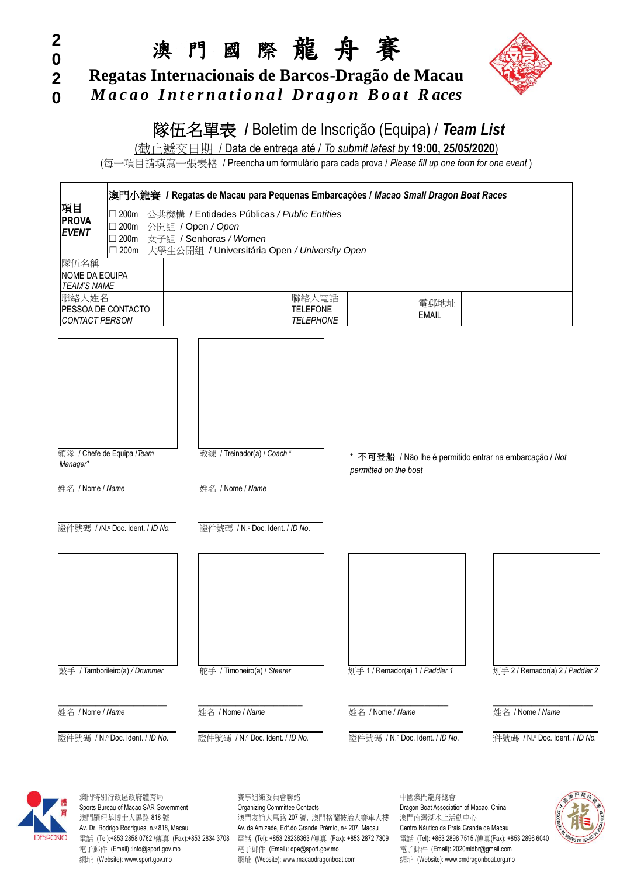## **2 0 2 0**

# 澳 門 國 際 龍 舟 賽

**Regatas Internacionais de Barcos-Dragão de Macau**

*M a c a o I n t e r n a t i o n a l D r a g o n B o a t R aces*



# 隊伍名單表 / Boletim de Inscrição (Equipa) / Team List

(截止遞交日期 / Data de entrega até / *To submit latest by* **19:00, 25/05/2020**)

(每一項目請填寫一張表格 / Preencha um formulário para cada prova / Please fill up one form for one event)

|                                                     |                                                               | 澳門小龍賽 / Regatas de Macau para Pequenas Embarcações / Macao Small Dragon Boat Races |                  |                                 |                      |                                                         |      |  |  |
|-----------------------------------------------------|---------------------------------------------------------------|------------------------------------------------------------------------------------|------------------|---------------------------------|----------------------|---------------------------------------------------------|------|--|--|
| 項目                                                  | $\square$ 200m<br>公共機構 / Entidades Públicas / Public Entities |                                                                                    |                  |                                 |                      |                                                         |      |  |  |
| <b>PROVA</b><br>$\square$ 200m<br>公開組 / Open / Open |                                                               |                                                                                    |                  |                                 |                      |                                                         |      |  |  |
| <b>EVENT</b>                                        | 女子組 / Senhoras / Women<br>$\square$ 200m                      |                                                                                    |                  |                                 |                      |                                                         |      |  |  |
|                                                     | $\square$ 200m                                                | 大學生公開組 / Universitária Open / University Open                                      |                  |                                 |                      |                                                         |      |  |  |
| 隊伍名稱<br>NOME DA EQUIPA<br><b>TEAM'S NAME</b>        |                                                               |                                                                                    |                  |                                 |                      |                                                         |      |  |  |
| 聯絡人姓名                                               |                                                               |                                                                                    | 聯絡人電話            |                                 |                      |                                                         |      |  |  |
|                                                     | PESSOA DE CONTACTO                                            |                                                                                    | <b>TELEFONE</b>  |                                 | 電郵地址<br><b>EMAIL</b> |                                                         |      |  |  |
| CONTACT PERSON                                      |                                                               |                                                                                    | <b>TELEPHONE</b> |                                 |                      |                                                         |      |  |  |
|                                                     |                                                               |                                                                                    |                  |                                 |                      |                                                         |      |  |  |
| Manager*                                            | 領隊 / Chefe de Equipa / Team                                   | 教練 / Treinador(a) / Coach*                                                         |                  | permitted on the boat           |                      | * 不可登船 / Não lhe é permitido entrar na embarcação / Not |      |  |  |
| 姓名 / Nome / Name                                    |                                                               | 姓名 / Nome / Name                                                                   |                  |                                 |                      |                                                         |      |  |  |
|                                                     | 證件號碼 / /N.º Doc. Ident. / ID No.                              | 證件號碼 / N.º Doc. Ident. / ID No.                                                    |                  |                                 |                      |                                                         |      |  |  |
|                                                     |                                                               |                                                                                    |                  |                                 |                      |                                                         |      |  |  |
|                                                     |                                                               |                                                                                    |                  |                                 |                      |                                                         |      |  |  |
|                                                     | 鼓手 / Tamborileiro(a) / Drummer                                | 舵手 / Timoneiro(a) / Steerer                                                        |                  | 划手 1 / Remador(a) 1 / Paddler 1 |                      | 划手 2 / Remador(a) 2 / Paddler 2                         |      |  |  |
| 姓名 / Nome / Name                                    |                                                               | 姓名 / Nome / Name                                                                   |                  | 姓名 / Nome / Name                |                      | 姓名 / Nome / Name                                        |      |  |  |
|                                                     | 證件號碼 / N.º Doc. Ident. / ID No.                               | 證件號碼 / N.º Doc. Ident. / ID No.                                                    |                  | 證件號碼 / N.º Doc. Ident. / ID No. |                      | 件號碼 / N.º Doc. Ident. / ID No.                          |      |  |  |
|                                                     | 澳門特別行政區政府體育局                                                  | 賽事組織委員會聯絡                                                                          |                  |                                 | 中國澳門龍舟總會             |                                                         | 無門龍州 |  |  |



Sports Bureau of Macao SAR Government **Organizing Committee Contacts** Dragon Boat Association of Macao, China 澳門羅理基博士大馬路 818 號 2000 2000 2000 2000 2000 2000 2000 號, 澳門格蘭披治大賽車大樓 澳門南灣湖水上活動中心 Av. Dr. Rodrigo Rodrigues, n.º 818, Macau Av. da Amizade, Edf.do Grande Prémio, n.º 207, Macau Centro Náutico da Praia Grande de Macau Av. +853 2896 7515 /傳直 (Fax): +853 2896 6040<br>雷話 (Tel): +853 2858 0762 /傳直 (Fax): +853 雷話 (Tel): +853 2858 0762 /傳直 (Fax): +853 2834 3708 雷話 (Tel): +853 28236363 /傳直 (Fax): +853 2872 7309 電子郵件 (Email) :info@sport.gov.mo 電子郵件 (Email): dpe@sport.gov.mo 電子郵件 (Email): 2020midbr@gmail.com 網址 (Website): www.sport.gov.mo 網址 (Website): www.macaodragonboat.com 網址 (Website): www.cmdragonboat.org.mo

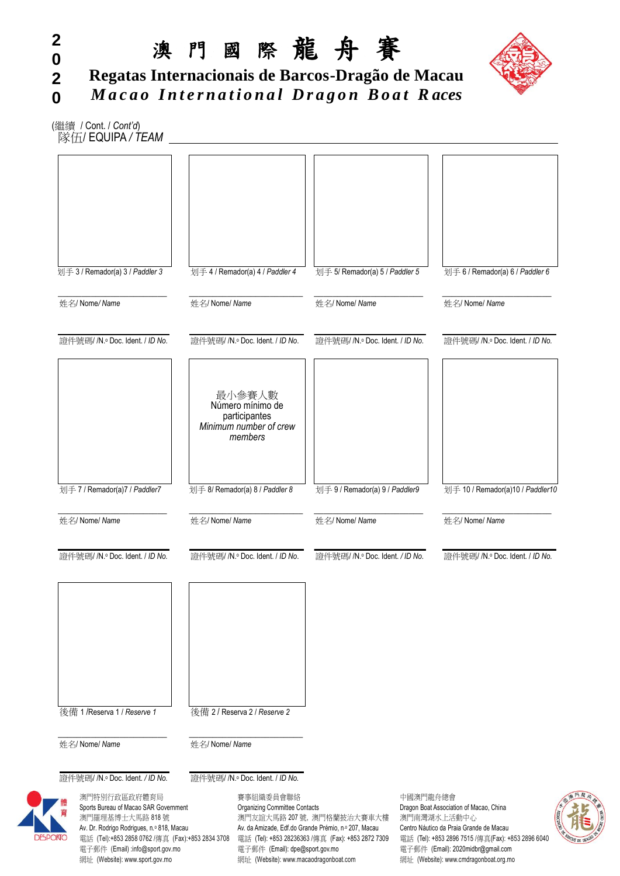

**0 2 0 Regatas Internacionais de Barcos-Dragão de Macau** *M a c a o I n t e r n a t i o n a l D r a g o n B o a t R aces*

(繼續 / Cont. / *Cont'd*) 隊伍/ EQUIPA */ TEAM*

**2**

| 划手 3 / Remador(a) 3 / Paddler 3                                                                                                                                                                                                                                  |                | 划手 4 / Remador(a) 4 / Paddler 4                                                                                              | 划手 5/ Remador(a) 5 / Paddler 5                                                                                                         |          | 划手 6 / Remador(a) 6 / Paddler 6                                                                                                                                                                                                                          |
|------------------------------------------------------------------------------------------------------------------------------------------------------------------------------------------------------------------------------------------------------------------|----------------|------------------------------------------------------------------------------------------------------------------------------|----------------------------------------------------------------------------------------------------------------------------------------|----------|----------------------------------------------------------------------------------------------------------------------------------------------------------------------------------------------------------------------------------------------------------|
| 姓名/ Nome/ Name                                                                                                                                                                                                                                                   | 姓名/ Nome/ Name |                                                                                                                              | 姓名/ Nome/ Name                                                                                                                         |          | 姓名/ Nome/ Name                                                                                                                                                                                                                                           |
| 證件號碼/ N.º Doc. Ident. / ID No.                                                                                                                                                                                                                                   |                | 證件號碼/ N.º Doc. Ident. / ID No.                                                                                               | 證件號碼/ N.º Doc. Ident. / ID No.                                                                                                         |          | 證件號碼/ /N.º Doc. Ident. / ID No.                                                                                                                                                                                                                          |
|                                                                                                                                                                                                                                                                  |                | 最小參賽人數<br>Número mínimo de<br>participantes<br>Minimum number of crew<br>members                                             |                                                                                                                                        |          |                                                                                                                                                                                                                                                          |
| 划手 7 / Remador(a)7 / Paddler7                                                                                                                                                                                                                                    |                | 划手 8/ Remador(a) 8 / Paddler 8                                                                                               | 划手 9 / Remador(a) 9 / Paddler9                                                                                                         |          | 划手 10 / Remador(a)10 / Paddler10                                                                                                                                                                                                                         |
| 姓名/ Nome/ Name                                                                                                                                                                                                                                                   | 姓名/ Nome/ Name |                                                                                                                              | 姓名/ Nome/ Name                                                                                                                         |          | 姓名/ Nome/ Name                                                                                                                                                                                                                                           |
| 證件號碼/ N.º Doc. Ident. / ID No.                                                                                                                                                                                                                                   |                | 證件號碼/ N.º Doc. Ident. / ID No.                                                                                               | 證件號碼/ N.º Doc. Ident. / ID No.                                                                                                         |          | 證件號碼/ /N.º Doc. Ident. / ID No.                                                                                                                                                                                                                          |
| 後備 1 / Reserva 1 / Reserve 1<br>姓名/ Nome/ Name                                                                                                                                                                                                                   | 姓名/ Nome/ Name | 後備 2/Reserva 2/Reserve 2                                                                                                     |                                                                                                                                        |          |                                                                                                                                                                                                                                                          |
| 證件號碼/ N.º Doc. Ident. / ID No.                                                                                                                                                                                                                                   |                | 證件號碼/ N.º Doc. Ident. / ID No.                                                                                               |                                                                                                                                        |          |                                                                                                                                                                                                                                                          |
| 澳門特別行政區政府體育局<br>Sports Bureau of Macao SAR Government<br>育<br>澳門羅理基博士大馬路 818號<br>Av. Dr. Rodrigo Rodrigues, n.º 818, Macau<br><b>NTO</b><br>電話 (Tel):+853 2858 0762 /傳真 (Fax):+853 2834 3708<br>電子郵件 (Email):info@sport.gov.mo<br>網址 (Website): www.sport.gov.mo |                | 賽事組織委員會聯絡<br><b>Organizing Committee Contacts</b><br>電子郵件 (Email): dpe@sport.gov.mo<br>網址 (Website): www.macaodragonboat.com | 澳門友誼大馬路 207號, 澳門格蘭披治大賽車大樓<br>Av. da Amizade, Edf.do Grande Prémio, n.º 207, Macau<br>電話 (Tel): +853 28236363 /傳真 (Fax): +853 2872 7309 | 中國澳門龍舟總會 | <b>EXISTIDED</b><br>Dragon Boat Association of Macao, China<br>澳門南灣湖水上活動中心<br>Centro Náutico da Praia Grande de Macau<br>電話 (Tel): +853 2896 7515 /傳真(Fax): +853 2896 6040<br>電子郵件 (Email): 2020midbr@gmail.com<br>網址 (Website): www.cmdragonboat.org.mo |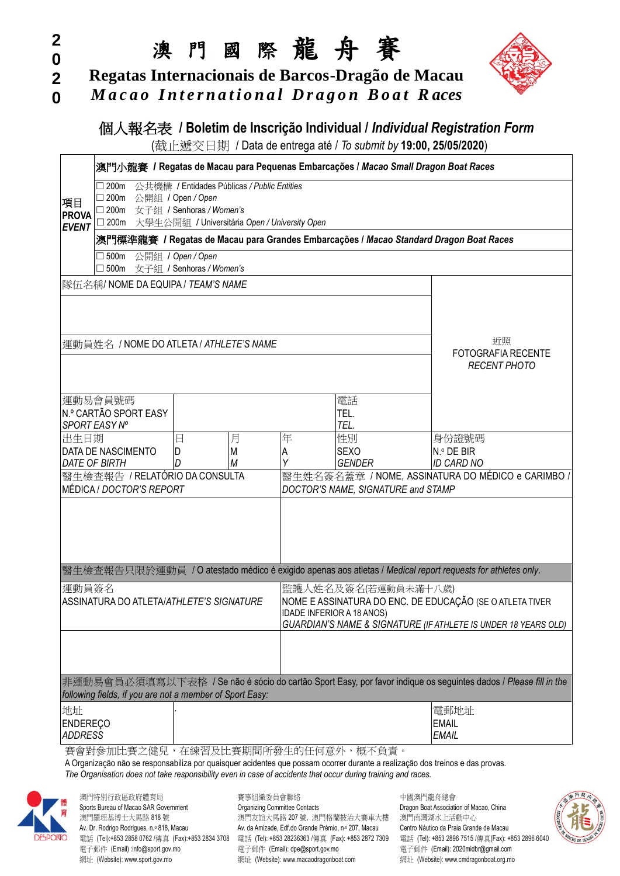# 澳 門 國 際 龍 舟 賽

**2 Regatas Internacionais de Barcos-Dragão de Macau**

*M a c a o I n t e r n a t i o n a l D r a g o n B o a t R aces*



# **個人報名表 / Boletim de Inscrição Individual / Individual Registration Form**

(截止遞交日期 / Data de entrega até / *To submit by* **19:00, 25/05/2020**)

|                       |                                                                                                                                                                             |                                               |   |   | 澳門小龍賽 / Regatas de Macau para Pequenas Embarcações / Macao Small Dragon Boat Races                                                                                                                                                             |                                                                                                            |  |
|-----------------------|-----------------------------------------------------------------------------------------------------------------------------------------------------------------------------|-----------------------------------------------|---|---|------------------------------------------------------------------------------------------------------------------------------------------------------------------------------------------------------------------------------------------------|------------------------------------------------------------------------------------------------------------|--|
|                       | $\Box$ 200m                                                                                                                                                                 | 公共機構 / Entidades Públicas / Public Entities   |   |   |                                                                                                                                                                                                                                                |                                                                                                            |  |
| 項目                    | $\square$ 200m                                                                                                                                                              | 公開組 / Open / Open                             |   |   |                                                                                                                                                                                                                                                |                                                                                                            |  |
| <b>PROVA</b>          | □ 200m 女子組 / Senhoras / Women's                                                                                                                                             |                                               |   |   |                                                                                                                                                                                                                                                |                                                                                                            |  |
| <b>EVENT</b>          | □ 200m 大學生公開組 / Universitária Open / University Open                                                                                                                        |                                               |   |   |                                                                                                                                                                                                                                                |                                                                                                            |  |
|                       |                                                                                                                                                                             |                                               |   |   | 澳門標準龍賽 / Regatas de Macau para Grandes Embarcações / Macao Standard Dragon Boat Races                                                                                                                                                          |                                                                                                            |  |
|                       | $\square$ 500m<br>$\square$ 500m                                                                                                                                            | 公開組 / Open / Open<br>女子組 / Senhoras / Women's |   |   |                                                                                                                                                                                                                                                |                                                                                                            |  |
|                       | 隊伍名稱/ NOME DA EQUIPA / TEAM'S NAME                                                                                                                                          |                                               |   |   |                                                                                                                                                                                                                                                |                                                                                                            |  |
|                       | 運動員姓名 / NOME DO ATLETA / ATHLETE'S NAME                                                                                                                                     | 近照<br><b>FOTOGRAFIA RECENTE</b>               |   |   |                                                                                                                                                                                                                                                |                                                                                                            |  |
|                       |                                                                                                                                                                             |                                               |   |   |                                                                                                                                                                                                                                                | <b>RECENT PHOTO</b>                                                                                        |  |
|                       | 運動易會員號碼                                                                                                                                                                     |                                               |   |   | 電話                                                                                                                                                                                                                                             |                                                                                                            |  |
|                       | N.º CARTÃO SPORT EASY<br>SPORT EASY Nº                                                                                                                                      |                                               |   |   | TEL.<br>TEL.                                                                                                                                                                                                                                   |                                                                                                            |  |
| 出生日期                  |                                                                                                                                                                             | 日                                             | 月 | 年 | 性別                                                                                                                                                                                                                                             | 身份證號碼                                                                                                      |  |
|                       | DATA DE NASCIMENTO                                                                                                                                                          | D                                             | M | Α | <b>SEXO</b>                                                                                                                                                                                                                                    | N.º DE BIR                                                                                                 |  |
|                       | <b>DATE OF BIRTH</b>                                                                                                                                                        | D                                             | M |   | <b>GENDER</b>                                                                                                                                                                                                                                  | <b>ID CARD NO</b>                                                                                          |  |
|                       | 醫生檢查報告 / RELATÓRIO DA CONSULTA<br>MÉDICA / DOCTOR'S REPORT                                                                                                                  |                                               |   |   |                                                                                                                                                                                                                                                | 醫生姓名簽名蓋章 / NOME, ASSINATURA DO MÉDICO e CARIMBO /                                                          |  |
|                       |                                                                                                                                                                             |                                               |   |   | DOCTOR'S NAME, SIGNATURE and STAMP                                                                                                                                                                                                             |                                                                                                            |  |
|                       |                                                                                                                                                                             |                                               |   |   |                                                                                                                                                                                                                                                |                                                                                                            |  |
|                       |                                                                                                                                                                             |                                               |   |   |                                                                                                                                                                                                                                                | 醫生檢查報告只限於運動員 / O atestado médico é exigido apenas aos atletas / Medical report requests for athletes only. |  |
| 運動員簽名                 |                                                                                                                                                                             |                                               |   |   | 監護人姓名及簽名(若運動員未滿十八歲)                                                                                                                                                                                                                            |                                                                                                            |  |
|                       | ASSINATURA DO ATLETA/ATHLETE'S SIGNATURE                                                                                                                                    |                                               |   |   |                                                                                                                                                                                                                                                | NOME E ASSINATURA DO ENC. DE EDUCAÇÃO (SE O ATLETA TIVER                                                   |  |
|                       |                                                                                                                                                                             |                                               |   |   | IDADE INFERIOR A 18 ANOS)                                                                                                                                                                                                                      | GUARDIAN'S NAME & SIGNATURE (IF ATHLETE IS UNDER 18 YEARS OLD)                                             |  |
|                       |                                                                                                                                                                             |                                               |   |   |                                                                                                                                                                                                                                                |                                                                                                            |  |
|                       | 非運動易會員必須填寫以下表格 / Se não é sócio do cartão Sport Easy, por favor indique os seguintes dados / Please fill in the<br>following fields, if you are not a member of Sport Easy: |                                               |   |   |                                                                                                                                                                                                                                                |                                                                                                            |  |
| 地址<br><b>ENDEREÇO</b> |                                                                                                                                                                             |                                               |   |   |                                                                                                                                                                                                                                                | 電郵地址<br><b>EMAIL</b>                                                                                       |  |
| <b>ADDRESS</b>        |                                                                                                                                                                             |                                               |   |   |                                                                                                                                                                                                                                                | <b>EMAIL</b>                                                                                               |  |
|                       | 賽會對參加比賽之健兒,在練習及比賽期間所發生的任何意外,概不負責。                                                                                                                                           |                                               |   |   | A Organização não se responsabiliza por quaisquer acidentes que possam ocorrer durante a realização dos treinos e das provas.<br>The Organisation does not take responsibility even in case of accidents that occur during training and races. |                                                                                                            |  |
|                       |                                                                                                                                                                             |                                               |   |   |                                                                                                                                                                                                                                                |                                                                                                            |  |



**2 0**

**0**

澳門特別行政區政府體育局 有一個 李事組織委員會聯絡 有一個 中國澳門龍舟總會 Sports Bureau of Macao SAR Government **Contacts** Organizing Committee Contacts **Dragon Boat Association of Macao**, China 澳門羅理基博士大馬路 818 號 2000 2000 2000 2000 2000 2000 2000 號, 澳門格蘭披治大賽車大樓 澳門南灣湖水上活動中心 Av. Dr. Rodrigo Rodrigues, n.º 818, Macau Av. da Amizade, Edf.do Grande Prémio, n.º 207, Macau Centro Náutico da Praia Grande de Macau Av. +853 2896 7515 /傳直 (Fax): +853 2896 6040<br>雷話 (Tel): +853 2858 0762 /傳直 (Fax): +853 雷話 (Tel): +853 2858 0762 /傳直 (Fax): +853 2834 3708 雷話 (Tel): +853 28236363 /傳直 (Fax): +853 2872 7309 電子郵件 (Email) :info@sport.gov.mo 電子郵件 (Email): dpe@sport.gov.mo 電子郵件 (Email): 2020midbr@gmail.com 網址 (Website): www.sport.gov.mo 網址 (Website): www.macaodragonboat.com 網址 (Website): www.cmdragonboat.org.mo